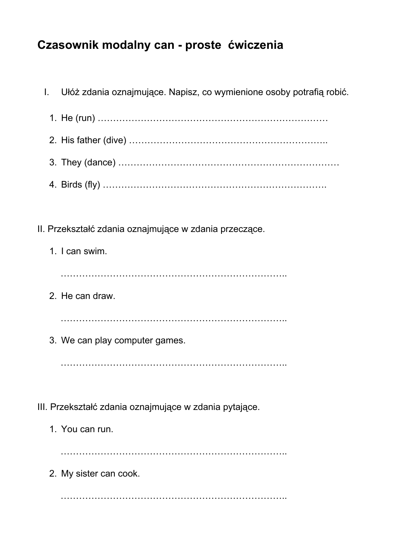## **Czasownik modalny can - proste ćwiczenia**

I. Ułóż zdania oznajmujące. Napisz, co wymienione osoby potrafią robić. 1. He (run) ………………………………………………………………… 2. His father (dive) ……………………………………………………….. 3. They (dance) ……………………………………………………………… 4. Birds (fly) ………………………………………………………………. II. Przekształć zdania oznajmujące w zdania przeczące. 1. I can swim. ……………………………………………………………….. 2. He can draw. ……………………………………………………………….. 3. We can play computer games. ……………………………………………………………….. III. Przekształć zdania oznajmujące w zdania pytające. 1. You can run. ……………………………………………………………….. 2. My sister can cook.

………………………………………………………………..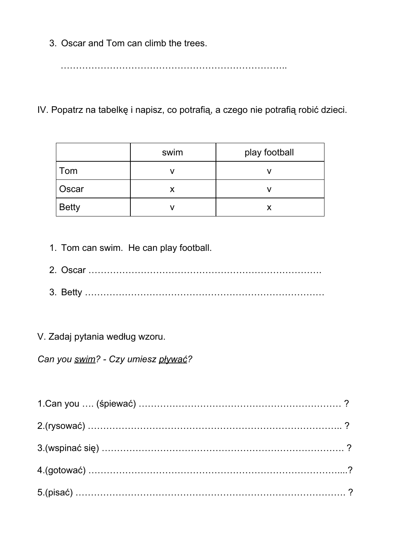3. Oscar and Tom can climb the trees.

………………………………………………………………..

IV. Popatrz na tabelkę i napisz, co potrafią, a czego nie potrafią robić dzieci.

|              | swim | play football |
|--------------|------|---------------|
| Tom          |      |               |
| Oscar        |      |               |
| <b>Betty</b> |      |               |

- 1. Tom can swim. He can play football.
- 2. Oscar ………………………………………………………………….
- 3. Betty ……………………………………………………………………

V. Zadaj pytania według wzoru.

*Can you swim? - Czy umiesz pływać?*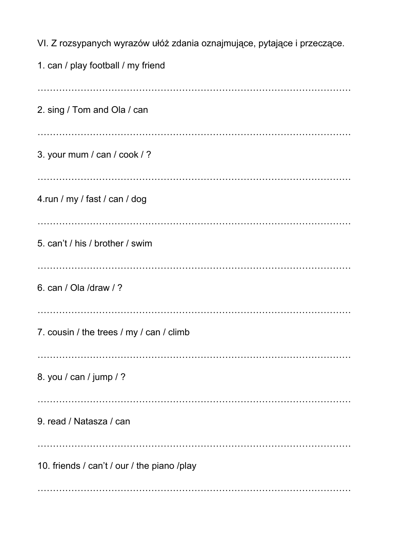VI. Z rozsypanych wyrazów ułóż zdania oznajmujące, pytające i przeczące. 1. can / play football / my friend ………………………………………………………………………………………… 2. sing / Tom and Ola / can ………………………………………………………………………………………… 3. your mum / can / cook / ? ………………………………………………………………………………………… 4.run / my / fast / can / dog ………………………………………………………………………………………… 5. can't / his / brother / swim ………………………………………………………………………………………… 6. can / Ola /draw / ? ………………………………………………………………………………………… 7. cousin / the trees / my / can / climb ………………………………………………………………………………………… 8. you / can / jump / ? ………………………………………………………………………………………… 9. read / Natasza / can ………………………………………………………………………………………… 10. friends / can't / our / the piano /play …………………………………………………………………………………………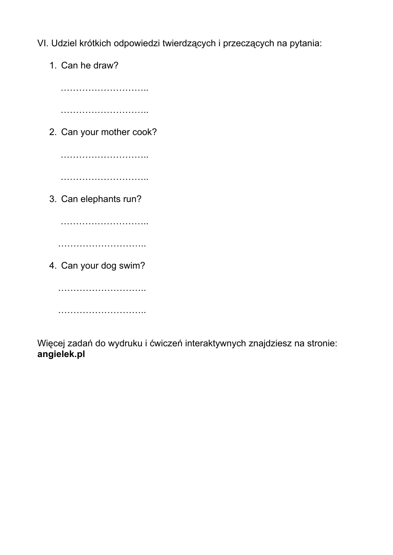- VI. Udziel krótkich odpowiedzi twierdzących i przeczących na pytania:
	- 1. Can he draw?

……………………….. ……………………….. 2. Can your mother cook? ……………………….. ……………………………… 3. Can elephants run? ……………………………… ……………………………… 4. Can your dog swim? ………………………..

………………………..

Więcej zadań do wydruku i ćwiczeń interaktywnych znajdziesz na stronie: **angielek.pl**